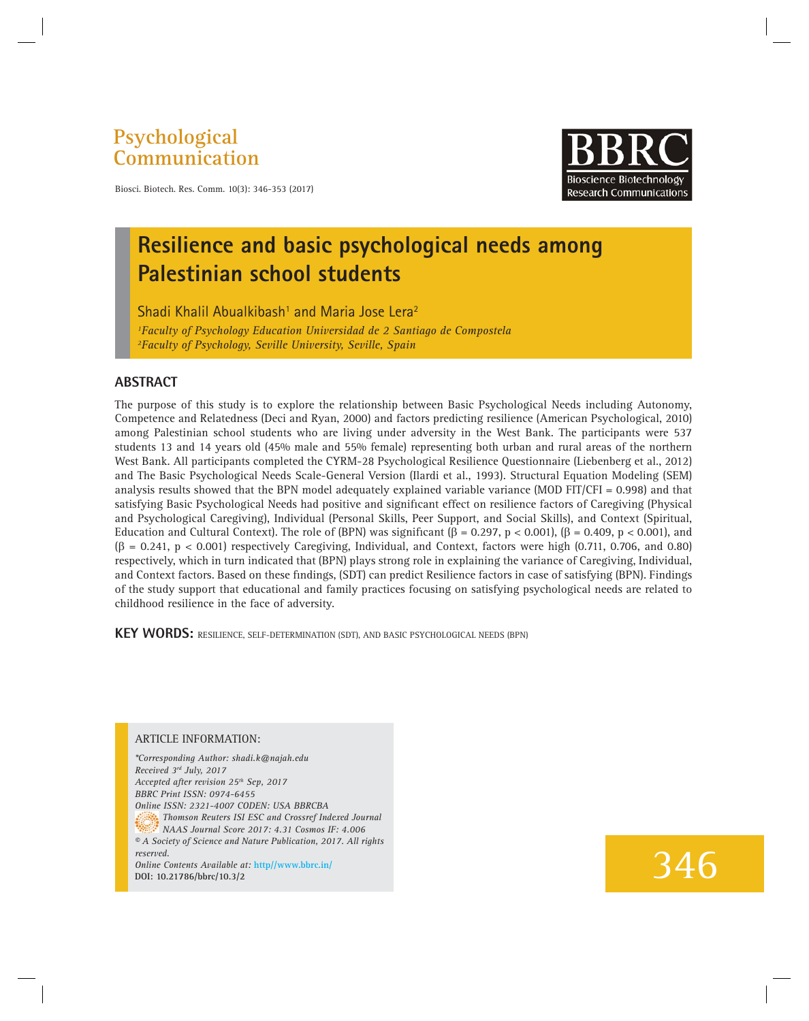### **Psychological Communication**



Biosci. Biotech. Res. Comm. 10(3): 346-353 (2017)

## **Resilience and basic psychological needs among Palestinian school students**

 $Sh$ adi Khalil Abualkibash $^1$  and Maria Jose Lera $^2$ *1 Faculty of Psychology Education Universidad de 2 Santiago de Compostela 2 Faculty of Psychology, Seville University, Seville, Spain*

#### **ABSTRACT**

The purpose of this study is to explore the relationship between Basic Psychological Needs including Autonomy, Competence and Relatedness (Deci and Ryan, 2000) and factors predicting resilience (American Psychological, 2010) among Palestinian school students who are living under adversity in the West Bank. The participants were 537 students 13 and 14 years old (45% male and 55% female) representing both urban and rural areas of the northern West Bank. All participants completed the CYRM-28 Psychological Resilience Questionnaire (Liebenberg et al., 2012) and The Basic Psychological Needs Scale-General Version (Ilardi et al., 1993). Structural Equation Modeling (SEM) analysis results showed that the BPN model adequately explained variable variance (MOD FIT/CFI = 0.998) and that satisfying Basic Psychological Needs had positive and significant effect on resilience factors of Caregiving (Physical and Psychological Caregiving), Individual (Personal Skills, Peer Support, and Social Skills), and Context (Spiritual, Education and Cultural Context). The role of (BPN) was significant ( $\beta = 0.297$ ,  $p < 0.001$ ), ( $\beta = 0.409$ ,  $p < 0.001$ ), and  $(\beta = 0.241, p < 0.001)$  respectively Caregiving, Individual, and Context, factors were high (0.711, 0.706, and 0.80) respectively, which in turn indicated that (BPN) plays strong role in explaining the variance of Caregiving, Individual, and Context factors. Based on these findings, (SDT) can predict Resilience factors in case of satisfying (BPN). Findings of the study support that educational and family practices focusing on satisfying psychological needs are related to childhood resilience in the face of adversity.

**KEY WORDS:** RESILIENCE, SELF-DETERMINATION (SDT), AND BASIC PSYCHOLOGICAL NEEDS (BPN)

#### ARTICLE INFORMATION:

*\*Corresponding Author: shadi.k@najah.edu Received 3rd July, 2017 Accepted after revision 25th Sep, 2017 BBRC Print ISSN: 0974-6455 Online ISSN: 2321-4007 CODEN: USA BBRCBA Thomson Reuters ISI ESC and Crossref Indexed Journal NAAS Journal Score 2017: 4.31 Cosmos IF: 4.006 © A Society of Science and Nature Publication, 2017. All rights reserved. Online Contents Available at:* **http//www.bbrc.in/ DOI: 10.21786/bbrc/10.3/2**

# 346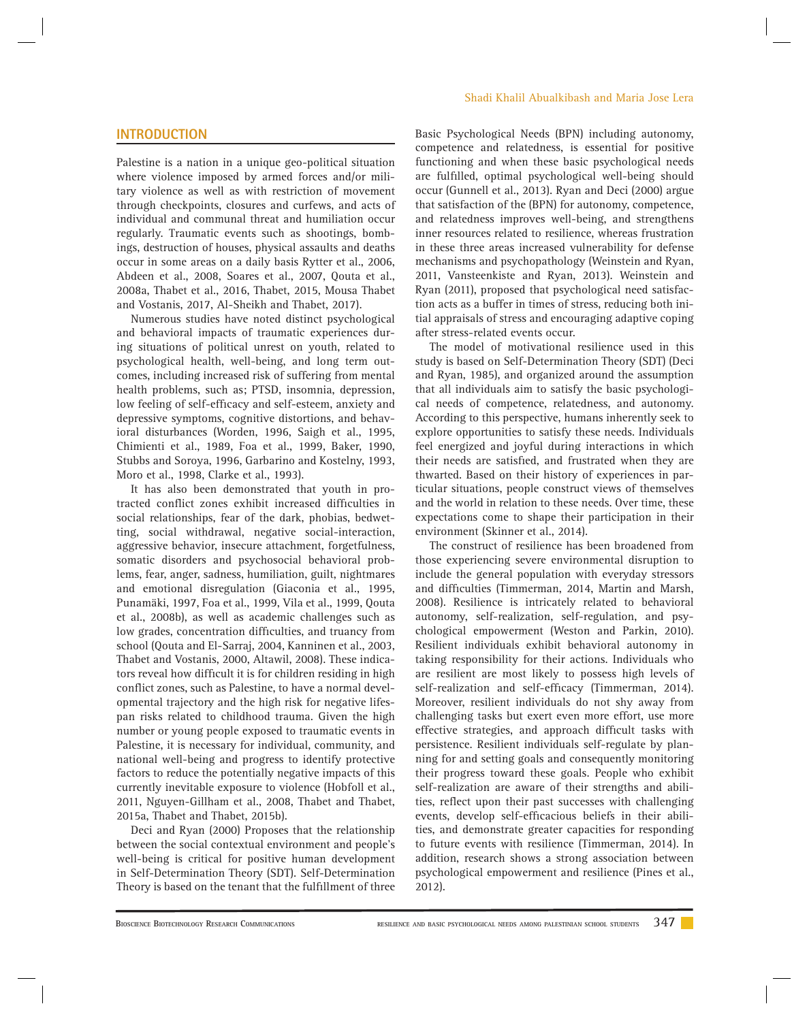#### **INTRODUCTION**

Palestine is a nation in a unique geo-political situation where violence imposed by armed forces and/or military violence as well as with restriction of movement through checkpoints, closures and curfews, and acts of individual and communal threat and humiliation occur regularly. Traumatic events such as shootings, bombings, destruction of houses, physical assaults and deaths occur in some areas on a daily basis Rytter et al., 2006, Abdeen et al., 2008, Soares et al., 2007, Qouta et al., 2008a, Thabet et al., 2016, Thabet, 2015, Mousa Thabet and Vostanis, 2017, Al-Sheikh and Thabet, 2017).

Numerous studies have noted distinct psychological and behavioral impacts of traumatic experiences during situations of political unrest on youth, related to psychological health, well-being, and long term outcomes, including increased risk of suffering from mental health problems, such as; PTSD, insomnia, depression, low feeling of self-efficacy and self-esteem, anxiety and depressive symptoms, cognitive distortions, and behavioral disturbances (Worden, 1996, Saigh et al., 1995, Chimienti et al., 1989, Foa et al., 1999, Baker, 1990, Stubbs and Soroya, 1996, Garbarino and Kostelny, 1993, Moro et al., 1998, Clarke et al., 1993).

It has also been demonstrated that youth in protracted conflict zones exhibit increased difficulties in social relationships, fear of the dark, phobias, bedwetting, social withdrawal, negative social-interaction, aggressive behavior, insecure attachment, forgetfulness, somatic disorders and psychosocial behavioral problems, fear, anger, sadness, humiliation, guilt, nightmares and emotional disregulation (Giaconia et al., 1995, Punamäki, 1997, Foa et al., 1999, Vila et al., 1999, Qouta et al., 2008b), as well as academic challenges such as low grades, concentration difficulties, and truancy from school (Qouta and El-Sarraj, 2004, Kanninen et al., 2003, Thabet and Vostanis, 2000, Altawil, 2008). These indicators reveal how difficult it is for children residing in high conflict zones, such as Palestine, to have a normal developmental trajectory and the high risk for negative lifespan risks related to childhood trauma. Given the high number or young people exposed to traumatic events in Palestine, it is necessary for individual, community, and national well-being and progress to identify protective factors to reduce the potentially negative impacts of this currently inevitable exposure to violence (Hobfoll et al., 2011, Nguyen-Gillham et al., 2008, Thabet and Thabet, 2015a, Thabet and Thabet, 2015b).

Deci and Ryan (2000) Proposes that the relationship between the social contextual environment and people's well-being is critical for positive human development in Self-Determination Theory (SDT). Self-Determination Theory is based on the tenant that the fulfillment of three

#### Shadi Khalil Abualkibash and Maria Jose Lera

Basic Psychological Needs (BPN) including autonomy, competence and relatedness, is essential for positive functioning and when these basic psychological needs are fulfilled, optimal psychological well-being should occur (Gunnell et al., 2013). Ryan and Deci (2000) argue that satisfaction of the (BPN) for autonomy, competence, and relatedness improves well-being, and strengthens inner resources related to resilience, whereas frustration in these three areas increased vulnerability for defense mechanisms and psychopathology (Weinstein and Ryan, 2011, Vansteenkiste and Ryan, 2013). Weinstein and Ryan (2011), proposed that psychological need satisfaction acts as a buffer in times of stress, reducing both initial appraisals of stress and encouraging adaptive coping after stress-related events occur.

The model of motivational resilience used in this study is based on Self-Determination Theory (SDT) (Deci and Ryan, 1985), and organized around the assumption that all individuals aim to satisfy the basic psychological needs of competence, relatedness, and autonomy. According to this perspective, humans inherently seek to explore opportunities to satisfy these needs. Individuals feel energized and joyful during interactions in which their needs are satisfied, and frustrated when they are thwarted. Based on their history of experiences in particular situations, people construct views of themselves and the world in relation to these needs. Over time, these expectations come to shape their participation in their environment (Skinner et al., 2014).

The construct of resilience has been broadened from those experiencing severe environmental disruption to include the general population with everyday stressors and difficulties (Timmerman, 2014, Martin and Marsh, 2008). Resilience is intricately related to behavioral autonomy, self-realization, self-regulation, and psychological empowerment (Weston and Parkin, 2010). Resilient individuals exhibit behavioral autonomy in taking responsibility for their actions. Individuals who are resilient are most likely to possess high levels of self-realization and self-efficacy (Timmerman, 2014). Moreover, resilient individuals do not shy away from challenging tasks but exert even more effort, use more effective strategies, and approach difficult tasks with persistence. Resilient individuals self-regulate by planning for and setting goals and consequently monitoring their progress toward these goals. People who exhibit self-realization are aware of their strengths and abilities, reflect upon their past successes with challenging events, develop self-efficacious beliefs in their abilities, and demonstrate greater capacities for responding to future events with resilience (Timmerman, 2014). In addition, research shows a strong association between psychological empowerment and resilience (Pines et al., 2012).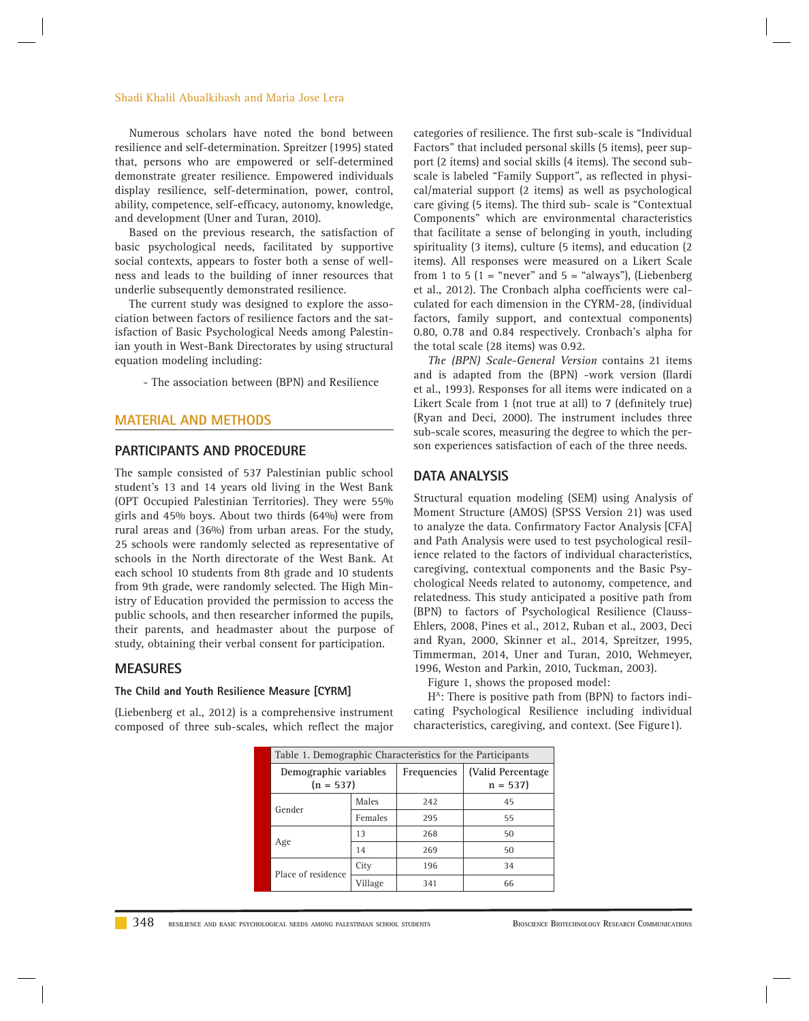#### Shadi Khalil Abualkibash and Maria Jose Lera

Numerous scholars have noted the bond between resilience and self-determination. Spreitzer (1995) stated that, persons who are empowered or self-determined demonstrate greater resilience. Empowered individuals display resilience, self-determination, power, control, ability, competence, self-efficacy, autonomy, knowledge, and development (Uner and Turan, 2010).

Based on the previous research, the satisfaction of basic psychological needs, facilitated by supportive social contexts, appears to foster both a sense of wellness and leads to the building of inner resources that underlie subsequently demonstrated resilience.

The current study was designed to explore the association between factors of resilience factors and the satisfaction of Basic Psychological Needs among Palestinian youth in West-Bank Directorates by using structural equation modeling including:

- The association between (BPN) and Resilience

#### **MATERIAL AND METHODS**

#### **PARTICIPANTS AND PROCEDURE**

The sample consisted of 537 Palestinian public school student's 13 and 14 years old living in the West Bank (OPT Occupied Palestinian Territories). They were 55% girls and 45% boys. About two thirds (64%) were from rural areas and (36%) from urban areas. For the study, 25 schools were randomly selected as representative of schools in the North directorate of the West Bank. At each school 10 students from 8th grade and 10 students from 9th grade, were randomly selected. The High Ministry of Education provided the permission to access the public schools, and then researcher informed the pupils, their parents, and headmaster about the purpose of study, obtaining their verbal consent for participation.

#### **MEASURES**

#### **The Child and Youth Resilience Measure [CYRM]**

(Liebenberg et al., 2012) is a comprehensive instrument composed of three sub-scales, which reflect the major categories of resilience. The first sub-scale is "Individual Factors" that included personal skills (5 items), peer support (2 items) and social skills (4 items). The second subscale is labeled "Family Support", as reflected in physical/material support (2 items) as well as psychological care giving (5 items). The third sub- scale is "Contextual Components" which are environmental characteristics that facilitate a sense of belonging in youth, including spirituality (3 items), culture (5 items), and education (2 items). All responses were measured on a Likert Scale from 1 to 5 ( $1 =$  "never" and  $5 =$  "always"), (Liebenberg et al., 2012). The Cronbach alpha coefficients were calculated for each dimension in the CYRM-28, (individual factors, family support, and contextual components) 0.80, 0.78 and 0.84 respectively. Cronbach's alpha for the total scale (28 items) was 0.92.

*The (BPN) Scale-General Version* contains 21 items and is adapted from the (BPN) -work version (Ilardi et al., 1993). Responses for all items were indicated on a Likert Scale from 1 (not true at all) to 7 (definitely true) (Ryan and Deci, 2000). The instrument includes three sub-scale scores, measuring the degree to which the person experiences satisfaction of each of the three needs.

#### **DATA ANALYSIS**

Structural equation modeling (SEM) using Analysis of Moment Structure (AMOS) (SPSS Version 21) was used to analyze the data. Confirmatory Factor Analysis [CFA] and Path Analysis were used to test psychological resilience related to the factors of individual characteristics, caregiving, contextual components and the Basic Psychological Needs related to autonomy, competence, and relatedness. This study anticipated a positive path from (BPN) to factors of Psychological Resilience (Clauss-Ehlers, 2008, Pines et al., 2012, Ruban et al., 2003, Deci and Ryan, 2000, Skinner et al., 2014, Spreitzer, 1995, Timmerman, 2014, Uner and Turan, 2010, Wehmeyer, 1996, Weston and Parkin, 2010, Tuckman, 2003).

Figure 1, shows the proposed model:

 $H<sup>A</sup>$ : There is positive path from (BPN) to factors indicating Psychological Resilience including individual characteristics, caregiving, and context. (See Figure1).

| Table 1. Demographic Characteristics for the Participants |         |             |                                 |  |
|-----------------------------------------------------------|---------|-------------|---------------------------------|--|
| Demographic variables<br>$(n = 537)$                      |         | Frequencies | (Valid Percentage)<br>$n = 537$ |  |
| Gender                                                    | Males   | 242         | 45                              |  |
|                                                           | Females | 295         | 55                              |  |
| Age                                                       | 13      | 268         | 50                              |  |
|                                                           | 14      | 269         | 50                              |  |
| Place of residence                                        | City    | 196         | 34                              |  |
|                                                           | Village | 341         | 66                              |  |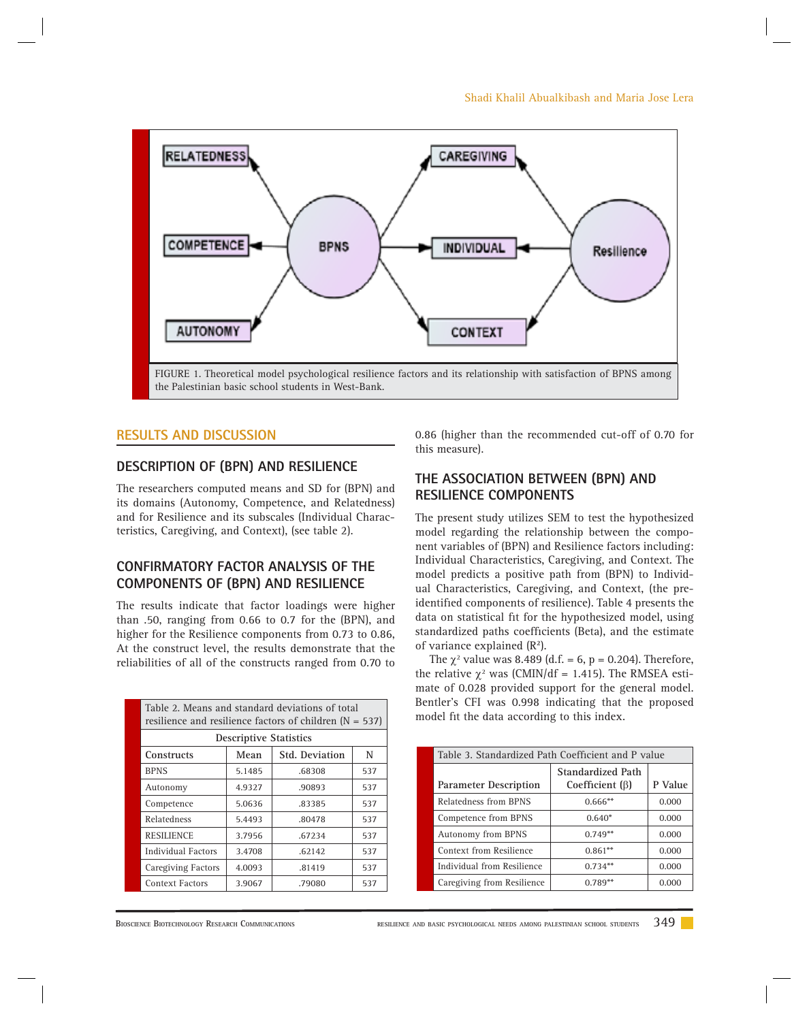

#### **RESULTS AND DISCUSSION**

#### **DESCRIPTION OF (BPN) AND RESILIENCE**

The researchers computed means and SD for (BPN) and its domains (Autonomy, Competence, and Relatedness) and for Resilience and its subscales (Individual Characteristics, Caregiving, and Context), (see table 2).

#### **CONFIRMATORY FACTOR ANALYSIS OF THE COMPONENTS OF (BPN) AND RESILIENCE**

The results indicate that factor loadings were higher than .50, ranging from 0.66 to 0.7 for the (BPN), and higher for the Resilience components from 0.73 to 0.86, At the construct level, the results demonstrate that the reliabilities of all of the constructs ranged from 0.70 to

| Table 2. Means and standard deviations of total<br>resilience and resilience factors of children $(N = 537)$ |        |                            |     |  |
|--------------------------------------------------------------------------------------------------------------|--------|----------------------------|-----|--|
| <b>Descriptive Statistics</b>                                                                                |        |                            |     |  |
| Constructs                                                                                                   | Mean   | <b>Std. Deviation</b><br>N |     |  |
| <b>BPNS</b>                                                                                                  | 5.1485 | .68308                     | 537 |  |
| Autonomy                                                                                                     | 4.9327 | .90893                     | 537 |  |
| Competence                                                                                                   | 5.0636 | .83385                     | 537 |  |
| <b>Relatedness</b>                                                                                           | 5.4493 | .80478                     | 537 |  |
| <b>RESILIENCE</b>                                                                                            | 3.7956 | .67234                     | 537 |  |
| Individual Factors                                                                                           | 3.4708 | .62142                     | 537 |  |
| <b>Caregiving Factors</b>                                                                                    | 4.0093 | .81419                     | 537 |  |
| Context Factors                                                                                              | 3.9067 | .79080                     | 537 |  |

0.86 (higher than the recommended cut-off of 0.70 for this measure).

#### **THE ASSOCIATION BETWEEN (BPN) AND RESILIENCE COMPONENTS**

The present study utilizes SEM to test the hypothesized model regarding the relationship between the component variables of (BPN) and Resilience factors including: Individual Characteristics, Caregiving, and Context. The model predicts a positive path from (BPN) to Individual Characteristics, Caregiving, and Context, (the preidentified components of resilience). Table 4 presents the data on statistical fit for the hypothesized model, using standardized paths coefficients (Beta), and the estimate of variance explained (R**<sup>2</sup>** ).

The  $\chi^2$  value was 8.489 (d.f. = 6, p = 0.204). Therefore, the relative  $\chi^2$  was (CMIN/df = 1.415). The RMSEA estimate of 0.028 provided support for the general model. Bentler's CFI was 0.998 indicating that the proposed model fit the data according to this index.

| Table 3. Standardized Path Coefficient and P value |                                            |         |  |
|----------------------------------------------------|--------------------------------------------|---------|--|
| <b>Parameter Description</b>                       | Standardized Path<br>Coefficient $(\beta)$ | P Value |  |
| Relatedness from BPNS                              | $0.666**$                                  | 0.000   |  |
| Competence from BPNS                               | $0.640*$                                   | 0.000   |  |
| Autonomy from BPNS                                 | $0.749**$                                  | 0.000   |  |
| Context from Resilience                            | $0.861**$                                  | 0.000   |  |
| Individual from Resilience                         | $0.734**$                                  | 0.000   |  |
| Caregiving from Resilience                         | $0.789**$                                  | 0.000   |  |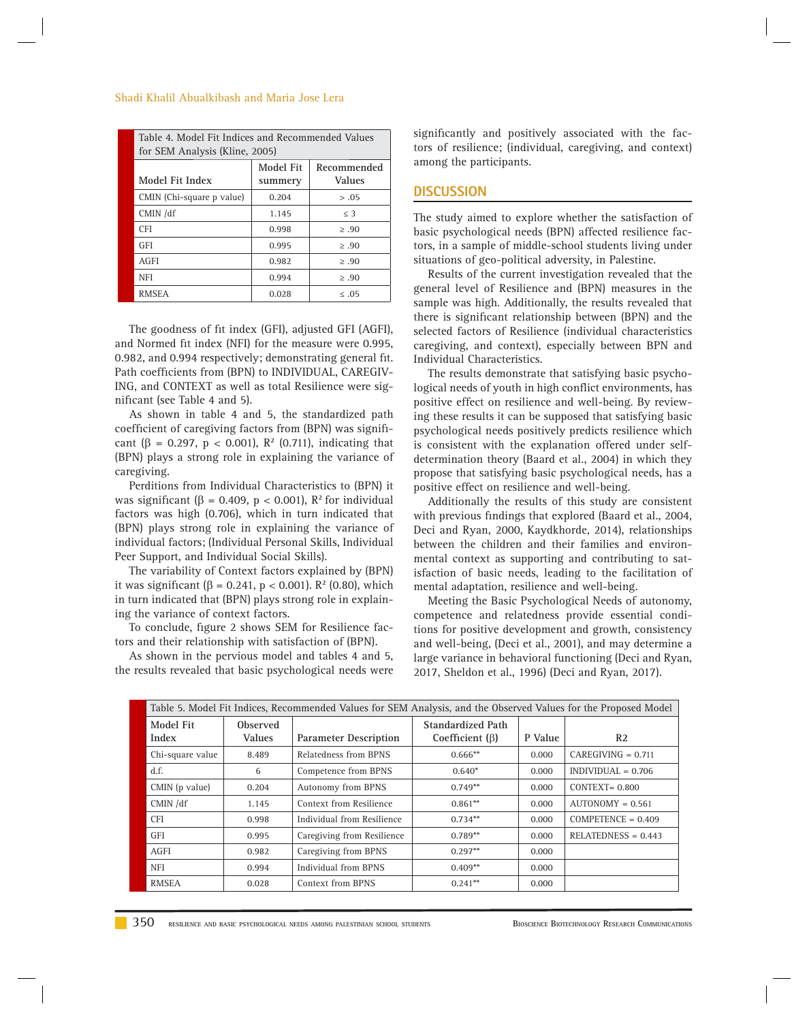#### Shadi Khalil Abualkibash and Maria Jose Lera

| Table 4. Model Fit Indices and Recommended Values<br>for SEM Analysis (Kline, 2005) |                      |                              |  |
|-------------------------------------------------------------------------------------|----------------------|------------------------------|--|
| Model Fit Index                                                                     | Model Fit<br>summery | Recommended<br><b>Values</b> |  |
| CMIN (Chi-square p value)                                                           | 0.204                | > .05                        |  |
| CMIN /df                                                                            | 1.145                | $\leq$ 3                     |  |
| <b>CFI</b>                                                                          | 0.998                | > .90                        |  |
| <b>GFI</b>                                                                          | 0.995                | > .90                        |  |
| AGFI                                                                                | 0.982                | > .90                        |  |
| <b>NFI</b>                                                                          | 0.994                | > .90                        |  |
| <b>RMSEA</b>                                                                        | 0.028                | $\leq .05$                   |  |

The goodness of fit index (GFI), adjusted GFI (AGFI), and Normed fit index (NFI) for the measure were 0.995, 0.982, and 0.994 respectively; demonstrating general fit. Path coefficients from (BPN) to INDIVIDUAL, CAREGIV-ING, and CONTEXT as well as total Resilience were significant (see Table 4 and 5).

As shown in table 4 and 5, the standardized path coefficient of caregiving factors from (BPN) was significant ( $\beta = 0.297$ ,  $p < 0.001$ ),  $R^2$  (0.711), indicating that (BPN) plays a strong role in explaining the variance of caregiving.

Perditions from Individual Characteristics to (BPN) it was significant ( $\beta$  = 0.409,  $p$  < 0.001),  $\mathbb{R}^2$  for individual factors was high (0.706), which in turn indicated that (BPN) plays strong role in explaining the variance of individual factors; (Individual Personal Skills, Individual Peer Support, and Individual Social Skills).

The variability of Context factors explained by (BPN) it was significant  $(\beta = 0.241, p < 0.001)$ . R<sup>2</sup> (0.80), which in turn indicated that (BPN) plays strong role in explaining the variance of context factors.

To conclude, figure 2 shows SEM for Resilience factors and their relationship with satisfaction of (BPN).

As shown in the pervious model and tables 4 and 5, the results revealed that basic psychological needs were significantly and positively associated with the factors of resilience; (individual, caregiving, and context) among the participants.

#### **DISCUSSION**

The study aimed to explore whether the satisfaction of basic psychological needs (BPN) affected resilience factors, in a sample of middle-school students living under situations of geo-political adversity, in Palestine.

Results of the current investigation revealed that the general level of Resilience and (BPN) measures in the sample was high. Additionally, the results revealed that there is significant relationship between (BPN) and the selected factors of Resilience (individual characteristics caregiving, and context), especially between BPN and Individual Characteristics.

The results demonstrate that satisfying basic psychological needs of youth in high conflict environments, has positive effect on resilience and well-being. By reviewing these results it can be supposed that satisfying basic psychological needs positively predicts resilience which is consistent with the explanation offered under selfdetermination theory (Baard et al., 2004) in which they propose that satisfying basic psychological needs, has a positive effect on resilience and well-being.

Additionally the results of this study are consistent with previous findings that explored (Baard et al., 2004, Deci and Ryan, 2000, Kaydkhorde, 2014), relationships between the children and their families and environmental context as supporting and contributing to satisfaction of basic needs, leading to the facilitation of mental adaptation, resilience and well-being.

Meeting the Basic Psychological Needs of autonomy, competence and relatedness provide essential conditions for positive development and growth, consistency and well-being, (Deci et al., 2001), and may determine a large variance in behavioral functioning (Deci and Ryan, 2017, Sheldon et al., 1996) (Deci and Ryan, 2017).

| Table 5. Model Fit Indices, Recommended Values for SEM Analysis, and the Observed Values for the Proposed Model |                           |                              |                                            |         |                       |
|-----------------------------------------------------------------------------------------------------------------|---------------------------|------------------------------|--------------------------------------------|---------|-----------------------|
| Model Fit<br>Index                                                                                              | Observed<br><b>Values</b> | <b>Parameter Description</b> | Standardized Path<br>Coefficient $(\beta)$ | P Value | R <sub>2</sub>        |
| Chi-square value                                                                                                | 8.489                     | Relatedness from BPNS        | $0.666**$                                  | 0.000   | $CAREGIVING = 0.711$  |
| d.f.                                                                                                            | 6                         | Competence from BPNS         | $0.640*$                                   | 0.000   | $INDIVIDUAL = 0.706$  |
| CMIN (p value)                                                                                                  | 0.204                     | Autonomy from BPNS           | $0.749**$                                  | 0.000   | $CONTEXT = 0.800$     |
| CMIN/df                                                                                                         | 1.145                     | Context from Resilience      | $0.861**$                                  | 0.000   | $AUTONOMY = 0.561$    |
| <b>CFI</b>                                                                                                      | 0.998                     | Individual from Resilience   | $0.734**$                                  | 0.000   | $COMPETENCE = 0.409$  |
| <b>GFI</b>                                                                                                      | 0.995                     | Caregiving from Resilience   | $0.789**$                                  | 0.000   | $RELATEDNESS = 0.443$ |
| AGFI                                                                                                            | 0.982                     | Caregiving from BPNS         | $0.297**$                                  | 0.000   |                       |
| <b>NFI</b>                                                                                                      | 0.994                     | Individual from BPNS         | $0.409**$                                  | 0.000   |                       |
| RMSEA                                                                                                           | 0.028                     | Context from BPNS            | $0.241**$                                  | 0.000   |                       |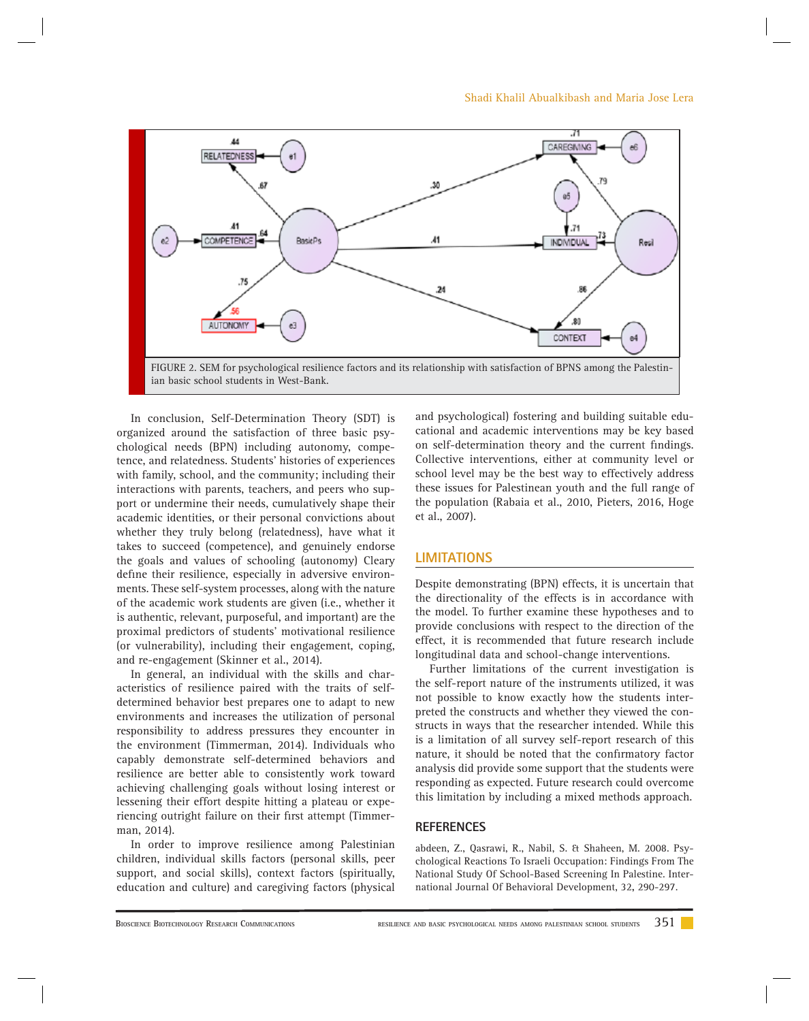

In conclusion, Self-Determination Theory (SDT) is organized around the satisfaction of three basic psychological needs (BPN) including autonomy, competence, and relatedness. Students' histories of experiences with family, school, and the community; including their interactions with parents, teachers, and peers who support or undermine their needs, cumulatively shape their academic identities, or their personal convictions about whether they truly belong (relatedness), have what it takes to succeed (competence), and genuinely endorse the goals and values of schooling (autonomy) Cleary define their resilience, especially in adversive environments. These self-system processes, along with the nature of the academic work students are given (i.e., whether it is authentic, relevant, purposeful, and important) are the proximal predictors of students' motivational resilience (or vulnerability), including their engagement, coping, and re-engagement (Skinner et al., 2014).

In general, an individual with the skills and characteristics of resilience paired with the traits of selfdetermined behavior best prepares one to adapt to new environments and increases the utilization of personal responsibility to address pressures they encounter in the environment (Timmerman, 2014). Individuals who capably demonstrate self-determined behaviors and resilience are better able to consistently work toward achieving challenging goals without losing interest or lessening their effort despite hitting a plateau or experiencing outright failure on their first attempt (Timmerman, 2014).

In order to improve resilience among Palestinian children, individual skills factors (personal skills, peer support, and social skills), context factors (spiritually, education and culture) and caregiving factors (physical and psychological) fostering and building suitable educational and academic interventions may be key based on self-determination theory and the current findings. Collective interventions, either at community level or school level may be the best way to effectively address these issues for Palestinean youth and the full range of the population (Rabaia et al., 2010, Pieters, 2016, Hoge et al., 2007).

#### **LIMITATIONS**

Despite demonstrating (BPN) effects, it is uncertain that the directionality of the effects is in accordance with the model. To further examine these hypotheses and to provide conclusions with respect to the direction of the effect, it is recommended that future research include longitudinal data and school-change interventions.

Further limitations of the current investigation is the self-report nature of the instruments utilized, it was not possible to know exactly how the students interpreted the constructs and whether they viewed the constructs in ways that the researcher intended. While this is a limitation of all survey self-report research of this nature, it should be noted that the confirmatory factor analysis did provide some support that the students were responding as expected. Future research could overcome this limitation by including a mixed methods approach.

#### **REFERENCES**

a bdeen, Z., Qasrawi, R., Nabil, S. & Shaheen, M. 2008. Psychological Reactions To Israeli Occupation: Findings From The National Study Of School-Based Screening In Palestine. International Journal Of Behavioral Development, 32**,** 290-297.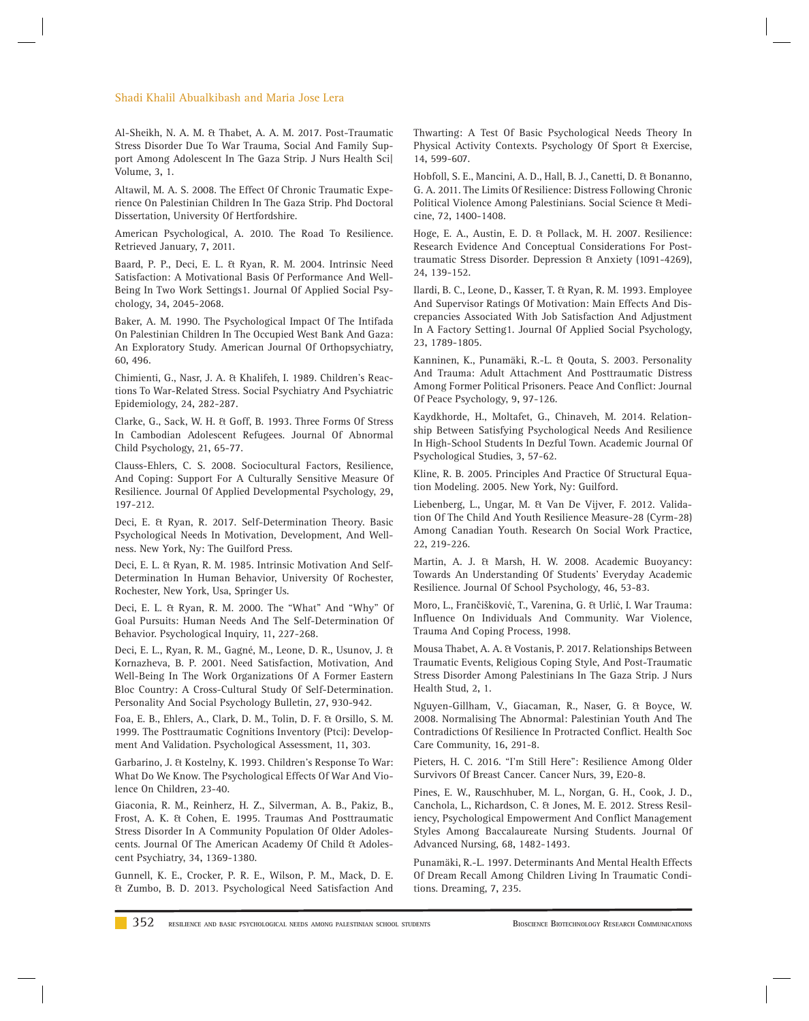#### Shadi Khalil Abualkibash and Maria Jose Lera

Al-Sheikh, N. A. M. & Thabet, A. A. M. 2017. Post-Traumatic Stress Disorder Due To War Trauma, Social And Family Support Among Adolescent In The Gaza Strip. J Nurs Health Sci| Volume, 3**,** 1.

Altawil, M. A. S. 2008. The Effect Of Chronic Traumatic Experience On Palestinian Children In The Gaza Strip. Phd Doctoral Dissertation, University Of Hertfordshire.

American Psychological, A. 2010. The Road To Resilience. Retrieved January, 7**,** 2011.

B aard, P. P., Deci, E. L. & Ryan, R. M. 2004. Intrinsic Need Satisfaction: A Motivational Basis Of Performance And Well‐ Being In Two Work Settings1. Journal Of Applied Social Psychology, 34**,** 2045-2068.

Baker, A. M. 1990. The Psychological Impact Of The Intifada On Palestinian Children In The Occupied West Bank And Gaza: An Exploratory Study. American Journal Of Orthopsychiatry, 60**,** 496.

C himienti, G., Nasr, J. A. & Khalifeh, I. 1989. Children's Reactions To War-Related Stress. Social Psychiatry And Psychiatric Epidemiology, 24**,** 282-287.

Clarke, G., Sack, W. H. & Goff, B. 1993. Three Forms Of Stress In Cambodian Adolescent Refugees. Journal Of Abnormal Child Psychology, 21**,** 65-77.

Clauss-Ehlers, C. S. 2008. Sociocultural Factors, Resilience, And Coping: Support For A Culturally Sensitive Measure Of Resilience. Journal Of Applied Developmental Psychology, 29**,** 197-212.

Deci, E. & Ryan, R. 2017. Self-Determination Theory. Basic Psychological Needs In Motivation, Development, And Wellness. New York, Ny: The Guilford Press.

Deci, E. L. & Ryan, R. M. 1985. Intrinsic Motivation And Self-Determination In Human Behavior, University Of Rochester, Rochester, New York, Usa, Springer Us.

Deci, E. L. & Ryan, R. M. 2000. The "What" And "Why" Of Goal Pursuits: Human Needs And The Self-Determination Of Behavior. Psychological Inquiry, 11**,** 227-268.

Deci, E. L., Ryan, R. M., Gagné, M., Leone, D. R., Usunov, J. & Kornazheva, B. P. 2001. Need Satisfaction, Motivation, And Well-Being In The Work Organizations Of A Former Eastern Bloc Country: A Cross-Cultural Study Of Self-Determination. Personality And Social Psychology Bulletin, 27**,** 930-942.

Foa, E. B., Ehlers, A., Clark, D. M., Tolin, D. F. & Orsillo, S. M. 1999. The Posttraumatic Cognitions Inventory (Ptci): Development And Validation. Psychological Assessment, 11**,** 303.

Garbarino, J. & Kostelny, K. 1993. Children's Response To War: What Do We Know. The Psychological Effects Of War And Violence On Children**,** 23-40.

Giaconia, R. M., Reinherz, H. Z., Silverman, A. B., Pakiz, B., Frost, A. K. & Cohen, E. 1995. Traumas And Posttraumatic Stress Disorder In A Community Population Of Older Adolescents. Journal Of The American Academy Of Child & Adolescent Psychiatry, 34**,** 1369-1380.

Gunnell, K. E., Crocker, P. R. E., Wilson, P. M., Mack, D. E. & Zumbo, B. D. 2013. Psychological Need Satisfaction And Thwarting: A Test Of Basic Psychological Needs Theory In Physical Activity Contexts. Psychology Of Sport & Exercise, 14**,** 599-607.

Hobfoll, S. E., Mancini, A. D., Hall, B. J., Canetti, D. & Bonanno, G. A. 2011. The Limits Of Resilience: Distress Following Chronic Political Violence Among Palestinians. Social Science & Medicine, 72**,** 1400-1408.

Hoge, E. A., Austin, E. D. & Pollack, M. H. 2007. Resilience: Research Evidence And Conceptual Considerations For Posttraumatic Stress Disorder. Depression & Anxiety (1091-4269), 24**,** 139-152.

Ilardi, B. C., Leone, D., Kasser, T. & Ryan, R. M. 1993. Employee And Supervisor Ratings Of Motivation: Main Effects And Discrepancies Associated With Job Satisfaction And Adjustment In A Factory Setting1. Journal Of Applied Social Psychology, 23**,** 1789-1805.

Kanninen, K., Punamäki, R.-L. & Qouta, S. 2003. Personality And Trauma: Adult Attachment And Posttraumatic Distress Among Former Political Prisoners. Peace And Conflict: Journal Of Peace Psychology, 9**,** 97-126.

K aydkhorde, H., Moltafet, G., Chinaveh, M. 2014. Relationship Between Satisfying Psychological Needs And Resilience In High-School Students In Dezful Town. Academic Journal Of Psychological Studies, 3**,** 57-62.

Kline, R. B. 2005. Principles And Practice Of Structural Equation Modeling. 2005. New York, Ny: Guilford.

Liebenberg, L., Ungar, M. & Van De Vijver, F. 2012. Validation Of The Child And Youth Resilience Measure-28 (Cyrm-28) Among Canadian Youth. Research On Social Work Practice, 22**,** 219-226.

Martin, A. J. & Marsh, H. W. 2008. Academic Buoyancy: Towards An Understanding Of Students' Everyday Academic Resilience. Journal Of School Psychology, 46**,** 53-83.

Moro, L., Frančišković, T., Varenina, G. & Urlić, I. War Trauma: Influence On Individuals And Community. War Violence, Trauma And Coping Process, 1998.

Mousa Thabet, A. A. & Vostanis, P. 2017. Relationships Between Traumatic Events, Religious Coping Style, And Post-Traumatic Stress Disorder Among Palestinians In The Gaza Strip. J Nurs Health Stud, 2**,** 1.

Nguyen-Gillham, V., Giacaman, R., Naser, G. & Boyce, W. 2008. Normalising The Abnormal: Palestinian Youth And The Contradictions Of Resilience In Protracted Conflict. Health Soc Care Community, 16**,** 291-8.

Pieters, H. C. 2016. "I'm Still Here": Resilience Among Older Survivors Of Breast Cancer. Cancer Nurs, 39**,** E20-8.

Pines, E. W., Rauschhuber, M. L., Norgan, G. H., Cook, J. D., Canchola, L., Richardson, C. & Jones, M. E. 2012. Stress Resiliency, Psychological Empowerment And Conflict Management Styles Among Baccalaureate Nursing Students. Journal Of Advanced Nursing, 68**,** 1482-1493.

Punamäki, R.-L. 1997. Determinants And Mental Health Effects Of Dream Recall Among Children Living In Traumatic Conditions. Dreaming, 7**,** 235.